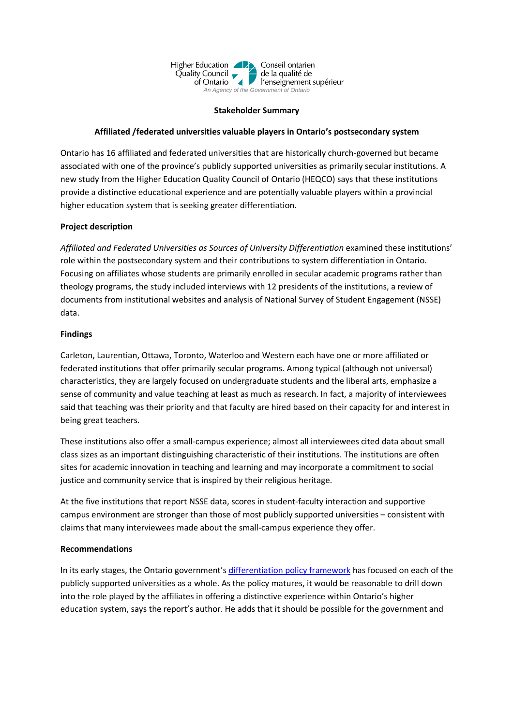

### **Stakeholder Summary**

# **Affiliated /federated universities valuable players in Ontario's postsecondary system**

Ontario has 16 affiliated and federated universities that are historically church-governed but became associated with one of the province's publicly supported universities as primarily secular institutions. A new study from the Higher Education Quality Council of Ontario (HEQCO) says that these institutions provide a distinctive educational experience and are potentially valuable players within a provincial higher education system that is seeking greater differentiation.

## **Project description**

*Affiliated and Federated Universities as Sources of University Differentiation* examined these institutions' role within the postsecondary system and their contributions to system differentiation in Ontario. Focusing on affiliates whose students are primarily enrolled in secular academic programs rather than theology programs, the study included interviews with 12 presidents of the institutions, a review of documents from institutional websites and analysis of National Survey of Student Engagement (NSSE) data.

## **Findings**

Carleton, Laurentian, Ottawa, Toronto, Waterloo and Western each have one or more affiliated or federated institutions that offer primarily secular programs. Among typical (although not universal) characteristics, they are largely focused on undergraduate students and the liberal arts, emphasize a sense of community and value teaching at least as much as research. In fact, a majority of interviewees said that teaching was their priority and that faculty are hired based on their capacity for and interest in being great teachers.

These institutions also offer a small-campus experience; almost all interviewees cited data about small class sizes as an important distinguishing characteristic of their institutions. The institutions are often sites for academic innovation in teaching and learning and may incorporate a commitment to social justice and community service that is inspired by their religious heritage.

At the five institutions that report NSSE data, scores in student-faculty interaction and supportive campus environment are stronger than those of most publicly supported universities – consistent with claims that many interviewees made about the small-campus experience they offer.

## **Recommendations**

In its early stages, the Ontario government's differentiation policy framework has focused on each of the publicly supported universities as a whole. As the policy matures, it would be reasonable to drill down into the role played by the affiliates in offering a distinctive experience within Ontario's higher education system, says the report's author. He adds that it should be possible for the government and